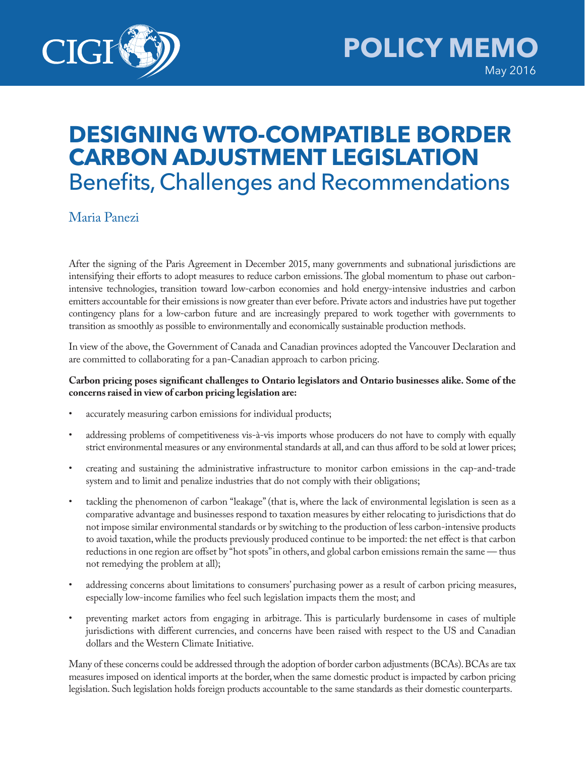

## **DESIGNING WTO-COMPATIBLE BORDER CARBON ADJUSTMENT LEGISLATION** Benefits, Challenges and Recommendations

## Maria Panezi

After the signing of the Paris Agreement in December 2015, many governments and subnational jurisdictions are intensifying their efforts to adopt measures to reduce carbon emissions. The global momentum to phase out carbonintensive technologies, transition toward low-carbon economies and hold energy-intensive industries and carbon emitters accountable for their emissions is now greater than ever before. Private actors and industries have put together contingency plans for a low-carbon future and are increasingly prepared to work together with governments to transition as smoothly as possible to environmentally and economically sustainable production methods.

In view of the above, the Government of Canada and Canadian provinces adopted the Vancouver Declaration and are committed to collaborating for a pan-Canadian approach to carbon pricing.

## **Carbon pricing poses significant challenges to Ontario legislators and Ontario businesses alike. Some of the concerns raised in view of carbon pricing legislation are:**

- accurately measuring carbon emissions for individual products;
- addressing problems of competitiveness vis-à-vis imports whose producers do not have to comply with equally strict environmental measures or any environmental standards at all, and can thus afford to be sold at lower prices;
- creating and sustaining the administrative infrastructure to monitor carbon emissions in the cap-and-trade system and to limit and penalize industries that do not comply with their obligations;
- tackling the phenomenon of carbon "leakage" (that is, where the lack of environmental legislation is seen as a comparative advantage and businesses respond to taxation measures by either relocating to jurisdictions that do not impose similar environmental standards or by switching to the production of less carbon-intensive products to avoid taxation, while the products previously produced continue to be imported: the net effect is that carbon reductions in one region are offset by "hot spots" in others, and global carbon emissions remain the same — thus not remedying the problem at all);
- addressing concerns about limitations to consumers' purchasing power as a result of carbon pricing measures, especially low-income families who feel such legislation impacts them the most; and
- preventing market actors from engaging in arbitrage. This is particularly burdensome in cases of multiple jurisdictions with different currencies, and concerns have been raised with respect to the US and Canadian dollars and the Western Climate Initiative.

Many of these concerns could be addressed through the adoption of border carbon adjustments (BCAs). BCAs are tax measures imposed on identical imports at the border, when the same domestic product is impacted by carbon pricing legislation. Such legislation holds foreign products accountable to the same standards as their domestic counterparts.